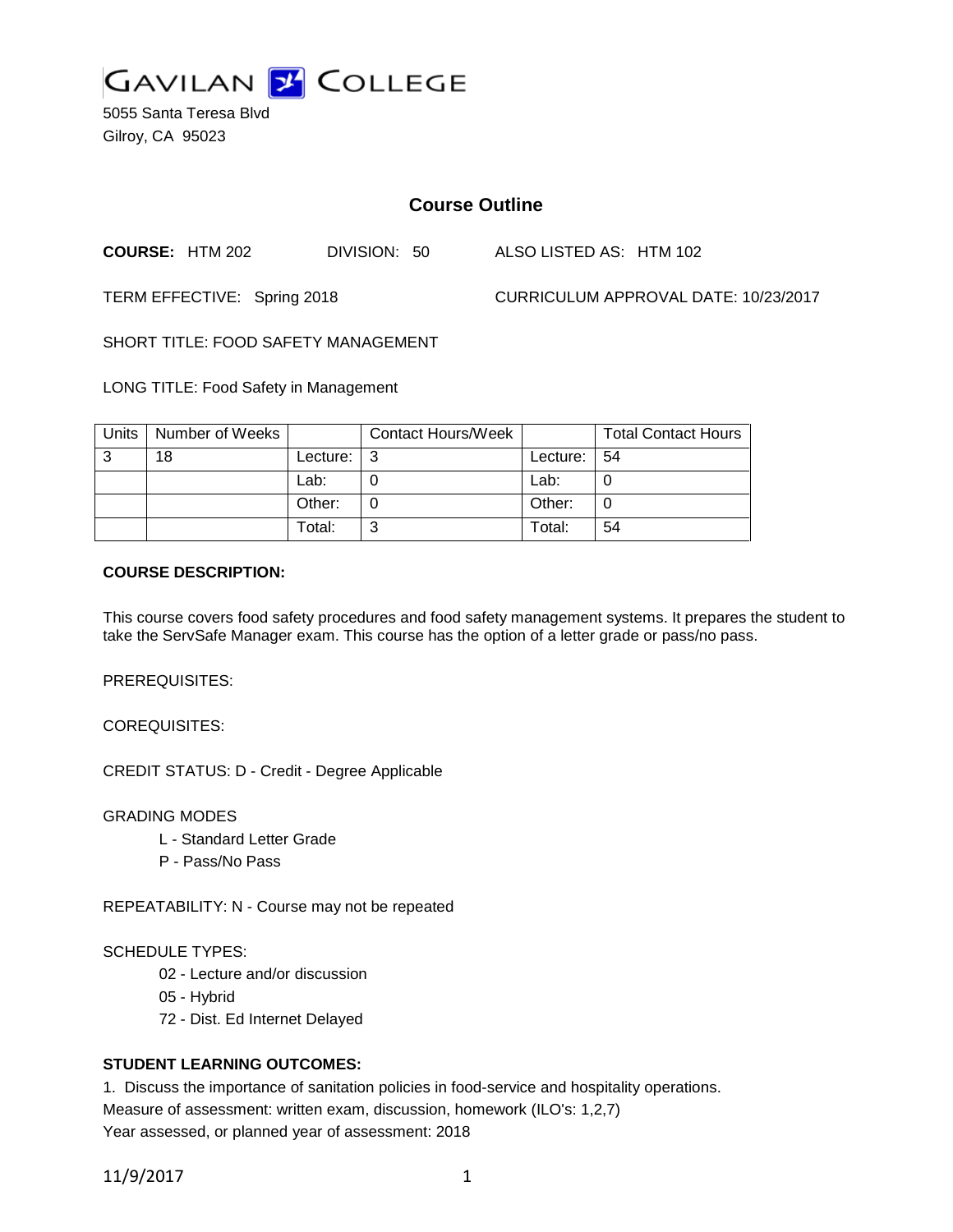

5055 Santa Teresa Blvd Gilroy, CA 95023

# **Course Outline**

**COURSE:** HTM 202 DIVISION: 50 ALSO LISTED AS: HTM 102

TERM EFFECTIVE: Spring 2018 CURRICULUM APPROVAL DATE: 10/23/2017

SHORT TITLE: FOOD SAFETY MANAGEMENT

LONG TITLE: Food Safety in Management

| Units | Number of Weeks |          | <b>Contact Hours/Week</b> |          | <b>Total Contact Hours</b> |
|-------|-----------------|----------|---------------------------|----------|----------------------------|
| 3     | 18              | Lecture: |                           | Lecture: | -54                        |
|       |                 | Lab:     |                           | Lab:     |                            |
|       |                 | Other:   |                           | Other:   |                            |
|       |                 | Total:   |                           | Total:   | 54                         |

## **COURSE DESCRIPTION:**

This course covers food safety procedures and food safety management systems. It prepares the student to take the ServSafe Manager exam. This course has the option of a letter grade or pass/no pass.

PREREQUISITES:

COREQUISITES:

CREDIT STATUS: D - Credit - Degree Applicable

GRADING MODES

- L Standard Letter Grade
- P Pass/No Pass

REPEATABILITY: N - Course may not be repeated

## SCHEDULE TYPES:

- 02 Lecture and/or discussion
- 05 Hybrid
- 72 Dist. Ed Internet Delayed

## **STUDENT LEARNING OUTCOMES:**

1. Discuss the importance of sanitation policies in food-service and hospitality operations. Measure of assessment: written exam, discussion, homework (ILO's: 1,2,7) Year assessed, or planned year of assessment: 2018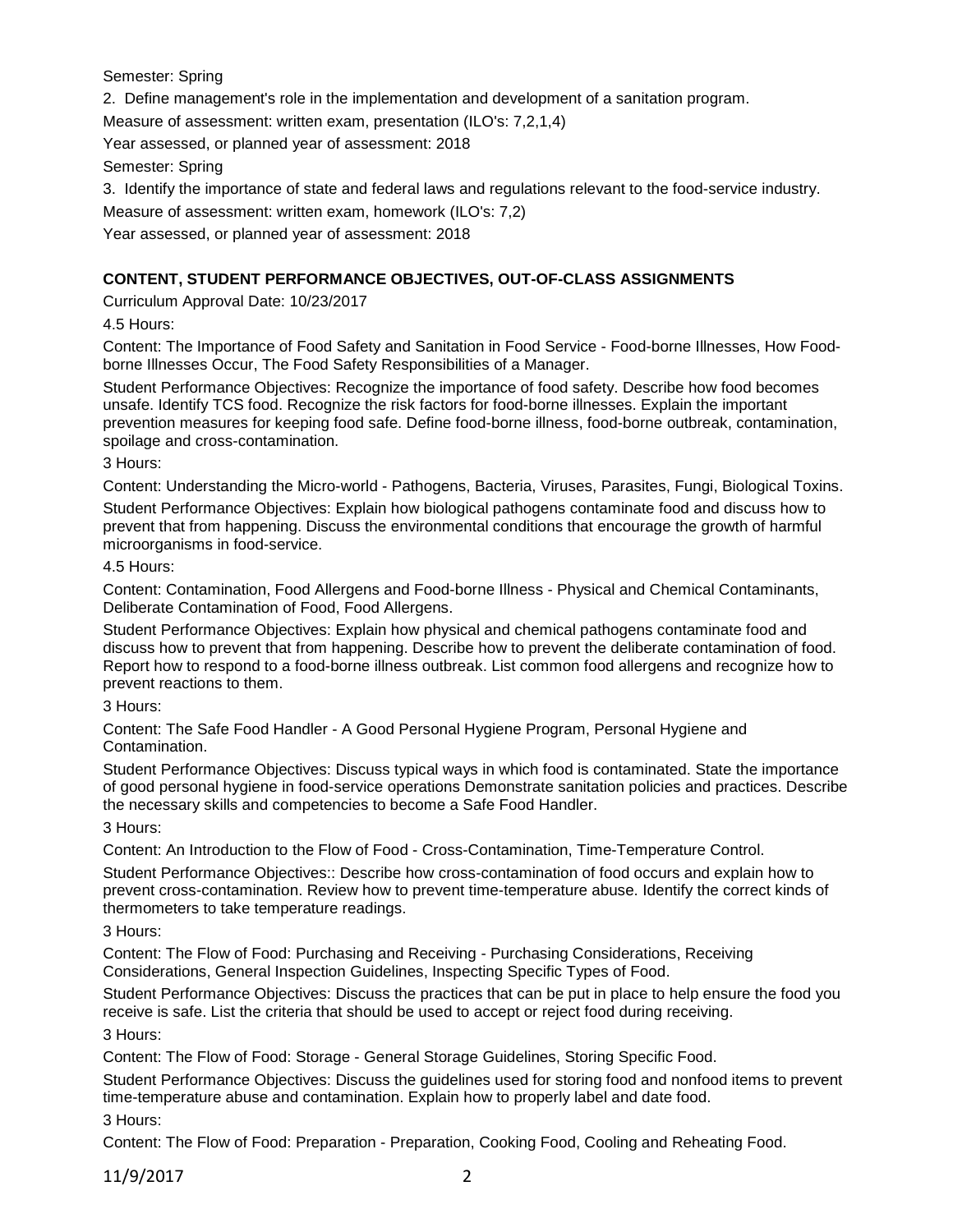Semester: Spring

2. Define management's role in the implementation and development of a sanitation program.

Measure of assessment: written exam, presentation (ILO's: 7,2,1,4)

Year assessed, or planned year of assessment: 2018

Semester: Spring

3. Identify the importance of state and federal laws and regulations relevant to the food-service industry.

Measure of assessment: written exam, homework (ILO's: 7,2)

Year assessed, or planned year of assessment: 2018

# **CONTENT, STUDENT PERFORMANCE OBJECTIVES, OUT-OF-CLASS ASSIGNMENTS**

Curriculum Approval Date: 10/23/2017

4.5 Hours:

Content: The Importance of Food Safety and Sanitation in Food Service - Food-borne Illnesses, How Foodborne Illnesses Occur, The Food Safety Responsibilities of a Manager.

Student Performance Objectives: Recognize the importance of food safety. Describe how food becomes unsafe. Identify TCS food. Recognize the risk factors for food-borne illnesses. Explain the important prevention measures for keeping food safe. Define food-borne illness, food-borne outbreak, contamination, spoilage and cross-contamination.

3 Hours:

Content: Understanding the Micro-world - Pathogens, Bacteria, Viruses, Parasites, Fungi, Biological Toxins.

Student Performance Objectives: Explain how biological pathogens contaminate food and discuss how to prevent that from happening. Discuss the environmental conditions that encourage the growth of harmful microorganisms in food-service.

4.5 Hours:

Content: Contamination, Food Allergens and Food-borne Illness - Physical and Chemical Contaminants, Deliberate Contamination of Food, Food Allergens.

Student Performance Objectives: Explain how physical and chemical pathogens contaminate food and discuss how to prevent that from happening. Describe how to prevent the deliberate contamination of food. Report how to respond to a food-borne illness outbreak. List common food allergens and recognize how to prevent reactions to them.

3 Hours:

Content: The Safe Food Handler - A Good Personal Hygiene Program, Personal Hygiene and Contamination.

Student Performance Objectives: Discuss typical ways in which food is contaminated. State the importance of good personal hygiene in food-service operations Demonstrate sanitation policies and practices. Describe the necessary skills and competencies to become a Safe Food Handler.

3 Hours:

Content: An Introduction to the Flow of Food - Cross-Contamination, Time-Temperature Control.

Student Performance Objectives:: Describe how cross-contamination of food occurs and explain how to prevent cross-contamination. Review how to prevent time-temperature abuse. Identify the correct kinds of thermometers to take temperature readings.

3 Hours:

Content: The Flow of Food: Purchasing and Receiving - Purchasing Considerations, Receiving Considerations, General Inspection Guidelines, Inspecting Specific Types of Food.

Student Performance Objectives: Discuss the practices that can be put in place to help ensure the food you receive is safe. List the criteria that should be used to accept or reject food during receiving. 3 Hours:

Content: The Flow of Food: Storage - General Storage Guidelines, Storing Specific Food.

Student Performance Objectives: Discuss the guidelines used for storing food and nonfood items to prevent time-temperature abuse and contamination. Explain how to properly label and date food.

3 Hours:

Content: The Flow of Food: Preparation - Preparation, Cooking Food, Cooling and Reheating Food.

11/9/2017 2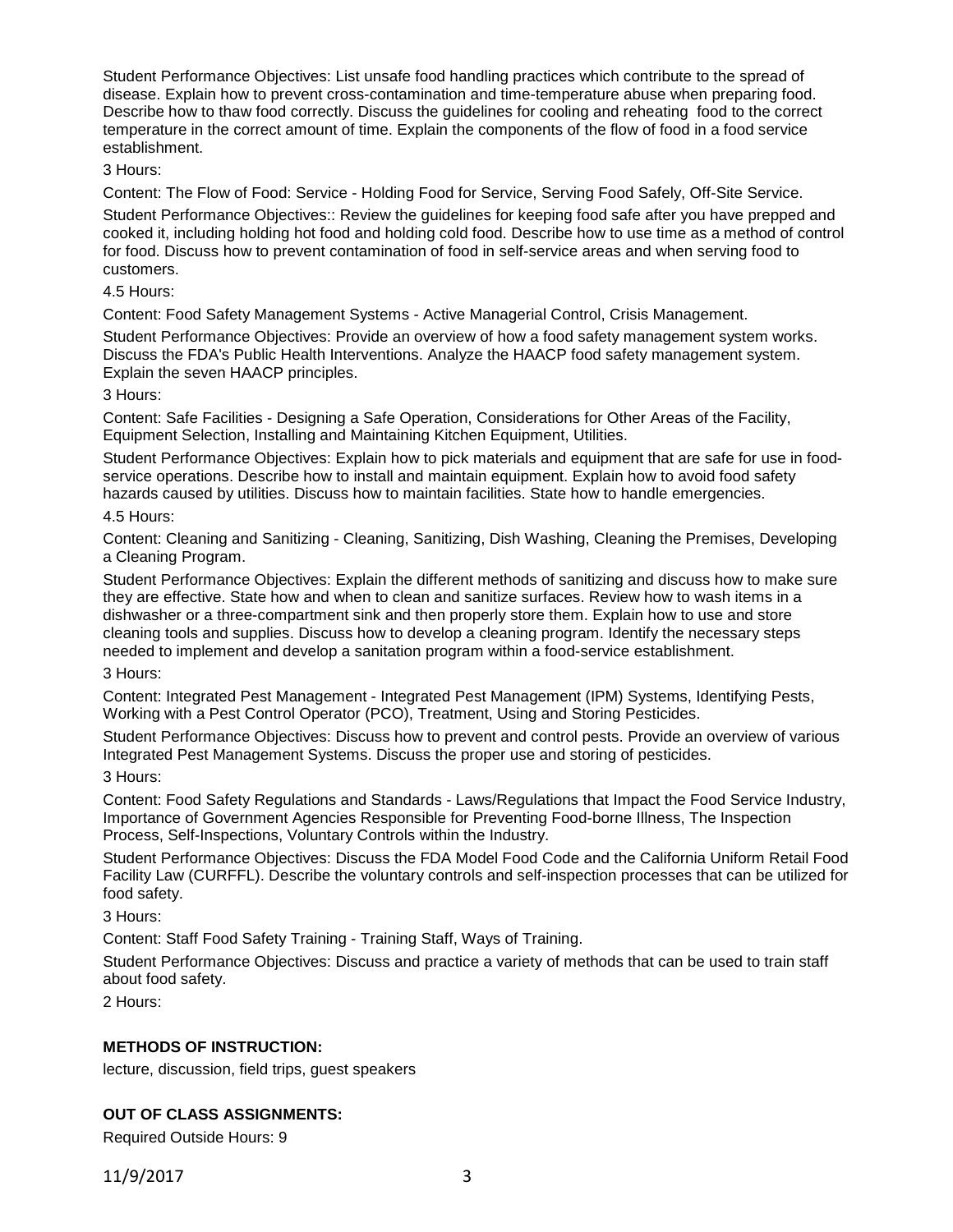Student Performance Objectives: List unsafe food handling practices which contribute to the spread of disease. Explain how to prevent cross-contamination and time-temperature abuse when preparing food. Describe how to thaw food correctly. Discuss the guidelines for cooling and reheating food to the correct temperature in the correct amount of time. Explain the components of the flow of food in a food service establishment.

## 3 Hours:

Content: The Flow of Food: Service - Holding Food for Service, Serving Food Safely, Off-Site Service.

Student Performance Objectives:: Review the guidelines for keeping food safe after you have prepped and cooked it, including holding hot food and holding cold food. Describe how to use time as a method of control for food. Discuss how to prevent contamination of food in self-service areas and when serving food to customers.

## 4.5 Hours:

Content: Food Safety Management Systems - Active Managerial Control, Crisis Management.

Student Performance Objectives: Provide an overview of how a food safety management system works. Discuss the FDA's Public Health Interventions. Analyze the HAACP food safety management system. Explain the seven HAACP principles.

## 3 Hours:

Content: Safe Facilities - Designing a Safe Operation, Considerations for Other Areas of the Facility, Equipment Selection, Installing and Maintaining Kitchen Equipment, Utilities.

Student Performance Objectives: Explain how to pick materials and equipment that are safe for use in foodservice operations. Describe how to install and maintain equipment. Explain how to avoid food safety hazards caused by utilities. Discuss how to maintain facilities. State how to handle emergencies.

## 4.5 Hours:

Content: Cleaning and Sanitizing - Cleaning, Sanitizing, Dish Washing, Cleaning the Premises, Developing a Cleaning Program.

Student Performance Objectives: Explain the different methods of sanitizing and discuss how to make sure they are effective. State how and when to clean and sanitize surfaces. Review how to wash items in a dishwasher or a three-compartment sink and then properly store them. Explain how to use and store cleaning tools and supplies. Discuss how to develop a cleaning program. Identify the necessary steps needed to implement and develop a sanitation program within a food-service establishment.

## 3 Hours:

Content: Integrated Pest Management - Integrated Pest Management (IPM) Systems, Identifying Pests, Working with a Pest Control Operator (PCO), Treatment, Using and Storing Pesticides.

Student Performance Objectives: Discuss how to prevent and control pests. Provide an overview of various Integrated Pest Management Systems. Discuss the proper use and storing of pesticides.

## 3 Hours:

Content: Food Safety Regulations and Standards - Laws/Regulations that Impact the Food Service Industry, Importance of Government Agencies Responsible for Preventing Food-borne Illness, The Inspection Process, Self-Inspections, Voluntary Controls within the Industry.

Student Performance Objectives: Discuss the FDA Model Food Code and the California Uniform Retail Food Facility Law (CURFFL). Describe the voluntary controls and self-inspection processes that can be utilized for food safety.

3 Hours:

Content: Staff Food Safety Training - Training Staff, Ways of Training.

Student Performance Objectives: Discuss and practice a variety of methods that can be used to train staff about food safety.

2 Hours:

## **METHODS OF INSTRUCTION:**

lecture, discussion, field trips, guest speakers

## **OUT OF CLASS ASSIGNMENTS:**

Required Outside Hours: 9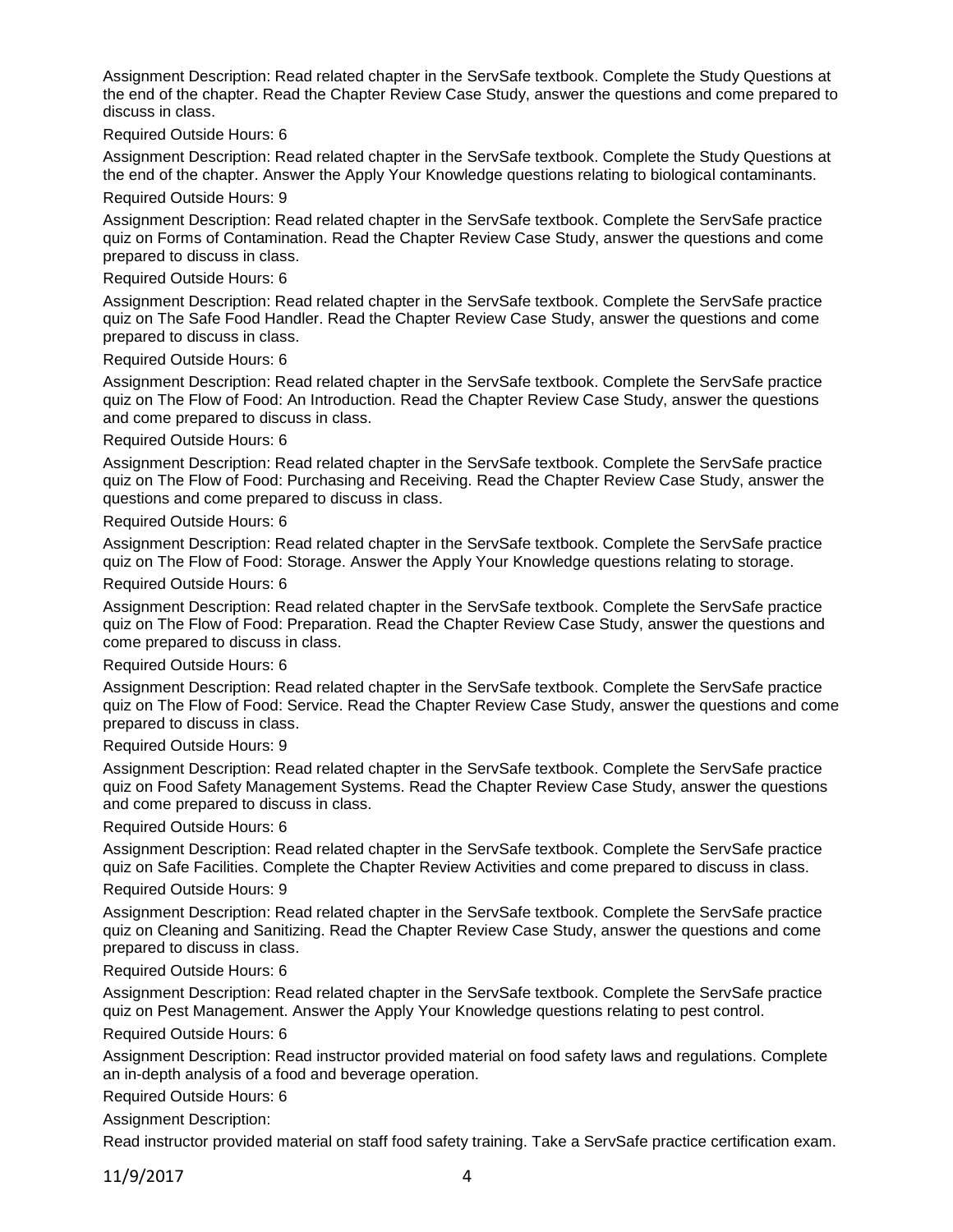Assignment Description: Read related chapter in the ServSafe textbook. Complete the Study Questions at the end of the chapter. Read the Chapter Review Case Study, answer the questions and come prepared to discuss in class.

## Required Outside Hours: 6

Assignment Description: Read related chapter in the ServSafe textbook. Complete the Study Questions at the end of the chapter. Answer the Apply Your Knowledge questions relating to biological contaminants.

## Required Outside Hours: 9

Assignment Description: Read related chapter in the ServSafe textbook. Complete the ServSafe practice quiz on Forms of Contamination. Read the Chapter Review Case Study, answer the questions and come prepared to discuss in class.

## Required Outside Hours: 6

Assignment Description: Read related chapter in the ServSafe textbook. Complete the ServSafe practice quiz on The Safe Food Handler. Read the Chapter Review Case Study, answer the questions and come prepared to discuss in class.

#### Required Outside Hours: 6

Assignment Description: Read related chapter in the ServSafe textbook. Complete the ServSafe practice quiz on The Flow of Food: An Introduction. Read the Chapter Review Case Study, answer the questions and come prepared to discuss in class.

#### Required Outside Hours: 6

Assignment Description: Read related chapter in the ServSafe textbook. Complete the ServSafe practice quiz on The Flow of Food: Purchasing and Receiving. Read the Chapter Review Case Study, answer the questions and come prepared to discuss in class.

#### Required Outside Hours: 6

Assignment Description: Read related chapter in the ServSafe textbook. Complete the ServSafe practice quiz on The Flow of Food: Storage. Answer the Apply Your Knowledge questions relating to storage.

#### Required Outside Hours: 6

Assignment Description: Read related chapter in the ServSafe textbook. Complete the ServSafe practice quiz on The Flow of Food: Preparation. Read the Chapter Review Case Study, answer the questions and come prepared to discuss in class.

## Required Outside Hours: 6

Assignment Description: Read related chapter in the ServSafe textbook. Complete the ServSafe practice quiz on The Flow of Food: Service. Read the Chapter Review Case Study, answer the questions and come prepared to discuss in class.

## Required Outside Hours: 9

Assignment Description: Read related chapter in the ServSafe textbook. Complete the ServSafe practice quiz on Food Safety Management Systems. Read the Chapter Review Case Study, answer the questions and come prepared to discuss in class.

## Required Outside Hours: 6

Assignment Description: Read related chapter in the ServSafe textbook. Complete the ServSafe practice quiz on Safe Facilities. Complete the Chapter Review Activities and come prepared to discuss in class.

## Required Outside Hours: 9

Assignment Description: Read related chapter in the ServSafe textbook. Complete the ServSafe practice quiz on Cleaning and Sanitizing. Read the Chapter Review Case Study, answer the questions and come prepared to discuss in class.

## Required Outside Hours: 6

Assignment Description: Read related chapter in the ServSafe textbook. Complete the ServSafe practice quiz on Pest Management. Answer the Apply Your Knowledge questions relating to pest control.

## Required Outside Hours: 6

Assignment Description: Read instructor provided material on food safety laws and regulations. Complete an in-depth analysis of a food and beverage operation.

## Required Outside Hours: 6

Assignment Description:

Read instructor provided material on staff food safety training. Take a ServSafe practice certification exam.

11/9/2017 4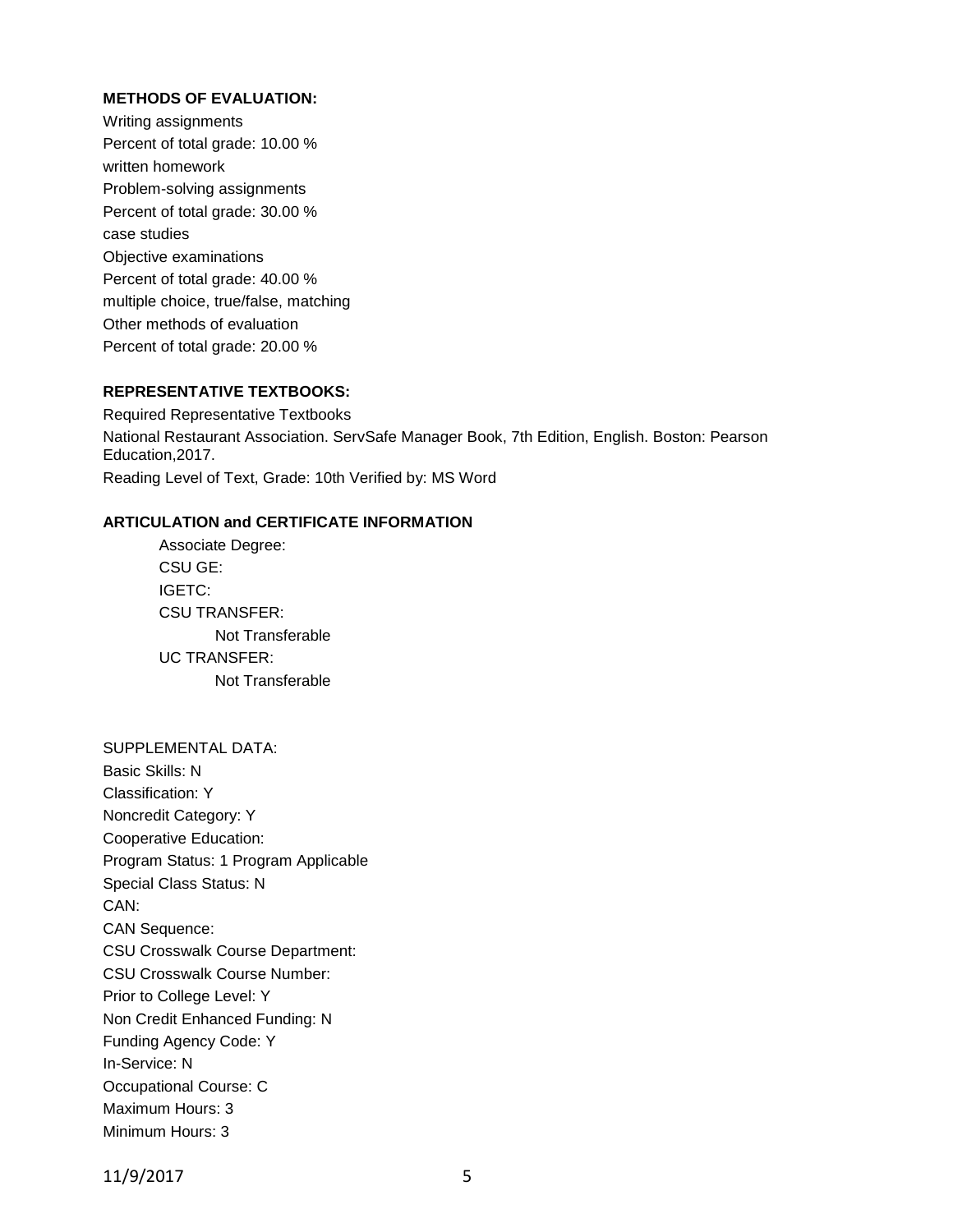## **METHODS OF EVALUATION:**

Writing assignments Percent of total grade: 10.00 % written homework Problem-solving assignments Percent of total grade: 30.00 % case studies Objective examinations Percent of total grade: 40.00 % multiple choice, true/false, matching Other methods of evaluation Percent of total grade: 20.00 %

## **REPRESENTATIVE TEXTBOOKS:**

Required Representative Textbooks National Restaurant Association. ServSafe Manager Book, 7th Edition, English. Boston: Pearson Education,2017. Reading Level of Text, Grade: 10th Verified by: MS Word

## **ARTICULATION and CERTIFICATE INFORMATION**

Associate Degree: CSU GE: IGETC: CSU TRANSFER: Not Transferable UC TRANSFER: Not Transferable

SUPPLEMENTAL DATA: Basic Skills: N Classification: Y Noncredit Category: Y Cooperative Education: Program Status: 1 Program Applicable Special Class Status: N CAN: CAN Sequence: CSU Crosswalk Course Department: CSU Crosswalk Course Number: Prior to College Level: Y Non Credit Enhanced Funding: N Funding Agency Code: Y In-Service: N Occupational Course: C Maximum Hours: 3 Minimum Hours: 3

11/9/2017 5